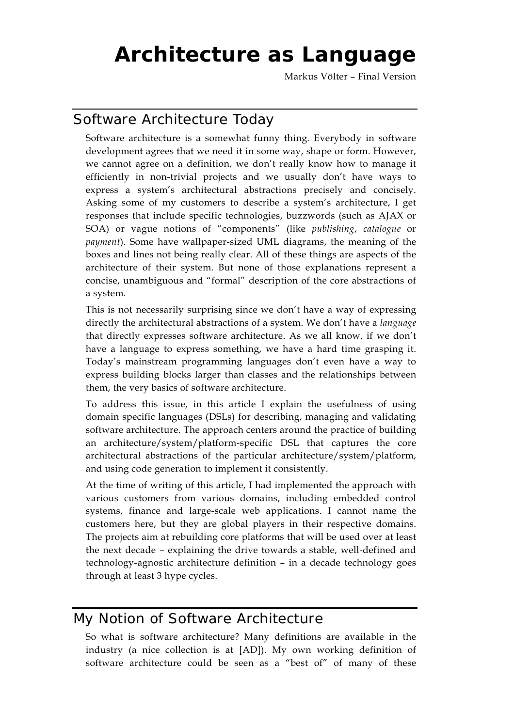# **Architecture as Language**

Markus Völter – Final Version

# Software Architecture Today

Software architecture is a somewhat funny thing. Everybody in software development agrees that we need it in some way, shape or form. However, we cannot agree on a definition, we don't really know how to manage it efficiently in non-trivial projects and we usually don't have ways to express a system's architectural abstractions precisely and concisely. Asking some of my customers to describe a system's architecture, I get responses that include specific technologies, buzzwords (such as AJAX or SOA) or vague notions of "components" (like *publishing*, *catalogue* or *payment*). Some have wallpaper-sized UML diagrams, the meaning of the boxes and lines not being really clear. All of these things are aspects of the architecture of their system. But none of those explanations represent a concise, unambiguous and "formal" description of the core abstractions of a system.

This is not necessarily surprising since we don't have a way of expressing directly the architectural abstractions of a system. We don't have a *language* that directly expresses software architecture. As we all know, if we don't have a language to express something, we have a hard time grasping it. Today's mainstream programming languages don't even have a way to express building blocks larger than classes and the relationships between them, the very basics of software architecture.

To address this issue, in this article I explain the usefulness of using domain specific languages (DSLs) for describing, managing and validating software architecture. The approach centers around the practice of building an architecture/system/platform-specific DSL that captures the core architectural abstractions of the particular architecture/system/platform, and using code generation to implement it consistently.

At the time of writing of this article, I had implemented the approach with various customers from various domains, including embedded control systems, finance and large-scale web applications. I cannot name the customers here, but they are global players in their respective domains. The projects aim at rebuilding core platforms that will be used over at least the next decade – explaining the drive towards a stable, well-defined and technology-agnostic architecture definition – in a decade technology goes through at least 3 hype cycles.

# My Notion of Software Architecture

So what is software architecture? Many definitions are available in the industry (a nice collection is at [AD]). My own working definition of software architecture could be seen as a "best of" of many of these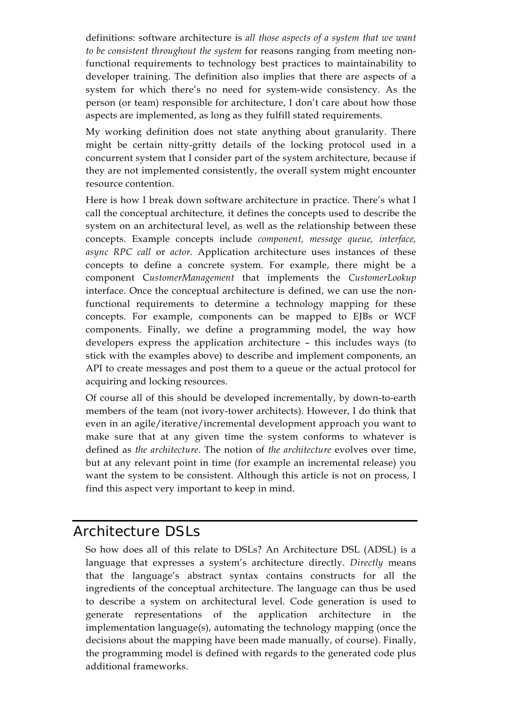definitions: software architecture is *all those aspects of a system that we want to be consistent throughout the system* for reasons ranging from meeting nonfunctional requirements to technology best practices to maintainability to developer training. The definition also implies that there are aspects of a system for which there's no need for system-wide consistency. As the person (or team) responsible for architecture, I don't care about how those aspects are implemented, as long as they fulfill stated requirements.

My working definition does not state anything about granularity. There might be certain nitty-gritty details of the locking protocol used in a concurrent system that I consider part of the system architecture, because if they are not implemented consistently, the overall system might encounter resource contention.

Here is how I break down software architecture in practice. There's what I call the conceptual architecture*,* it defines the concepts used to describe the system on an architectural level, as well as the relationship between these concepts. Example concepts include *component, message queue, interface, async RPC call* or *actor.* Application architecture uses instances of these concepts to define a concrete system. For example, there might be a component C*ustomerManagement* that implements the *CustomerLookup* interface. Once the conceptual architecture is defined, we can use the nonfunctional requirements to determine a technology mapping for these concepts. For example, components can be mapped to EJBs or WCF components. Finally, we define a programming model, the way how developers express the application architecture – this includes ways (to stick with the examples above) to describe and implement components, an API to create messages and post them to a queue or the actual protocol for acquiring and locking resources.

Of course all of this should be developed incrementally, by down-to-earth members of the team (not ivory-tower architects). However, I do think that even in an agile/iterative/incremental development approach you want to make sure that at any given time the system conforms to whatever is defined as *the architecture*. The notion of *the architecture* evolves over time, but at any relevant point in time (for example an incremental release) you want the system to be consistent. Although this article is not on process, I find this aspect very important to keep in mind.

## Architecture DSLs

So how does all of this relate to DSLs? An Architecture DSL (ADSL) is a language that expresses a system's architecture directly. *Directly* means that the language's abstract syntax contains constructs for all the ingredients of the conceptual architecture. The language can thus be used to describe a system on architectural level. Code generation is used to generate representations of the application architecture in the implementation language(s), automating the technology mapping (once the decisions about the mapping have been made manually, of course). Finally, the programming model is defined with regards to the generated code plus additional frameworks.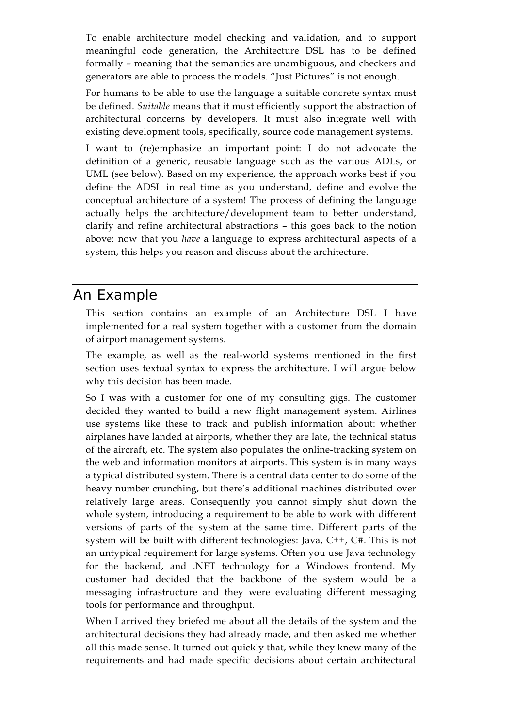To enable architecture model checking and validation, and to support meaningful code generation, the Architecture DSL has to be defined formally – meaning that the semantics are unambiguous, and checkers and generators are able to process the models. "Just Pictures" is not enough.

For humans to be able to use the language a suitable concrete syntax must be defined. *Suitable* means that it must efficiently support the abstraction of architectural concerns by developers. It must also integrate well with existing development tools, specifically, source code management systems.

I want to (re)emphasize an important point: I do not advocate the definition of a generic, reusable language such as the various ADLs, or UML (see below). Based on my experience, the approach works best if you define the ADSL in real time as you understand, define and evolve the conceptual architecture of a system! The process of defining the language actually helps the architecture/development team to better understand, clarify and refine architectural abstractions – this goes back to the notion above: now that you *have* a language to express architectural aspects of a system, this helps you reason and discuss about the architecture.

## An Example

This section contains an example of an Architecture DSL I have implemented for a real system together with a customer from the domain of airport management systems.

The example, as well as the real-world systems mentioned in the first section uses textual syntax to express the architecture. I will argue below why this decision has been made.

So I was with a customer for one of my consulting gigs. The customer decided they wanted to build a new flight management system. Airlines use systems like these to track and publish information about: whether airplanes have landed at airports, whether they are late, the technical status of the aircraft, etc. The system also populates the online-tracking system on the web and information monitors at airports. This system is in many ways a typical distributed system. There is a central data center to do some of the heavy number crunching, but there's additional machines distributed over relatively large areas. Consequently you cannot simply shut down the whole system, introducing a requirement to be able to work with different versions of parts of the system at the same time. Different parts of the system will be built with different technologies: Java, C++, C#. This is not an untypical requirement for large systems. Often you use Java technology for the backend, and .NET technology for a Windows frontend. My customer had decided that the backbone of the system would be a messaging infrastructure and they were evaluating different messaging tools for performance and throughput.

When I arrived they briefed me about all the details of the system and the architectural decisions they had already made, and then asked me whether all this made sense. It turned out quickly that, while they knew many of the requirements and had made specific decisions about certain architectural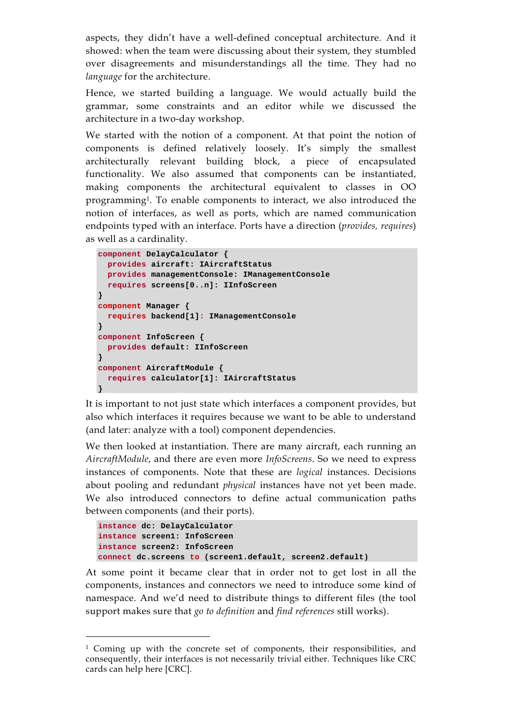aspects, they didn't have a well-defined conceptual architecture. And it showed: when the team were discussing about their system, they stumbled over disagreements and misunderstandings all the time. They had no *language* for the architecture.

Hence, we started building a language. We would actually build the grammar, some constraints and an editor while we discussed the architecture in a two-day workshop.

We started with the notion of a component. At that point the notion of components is defined relatively loosely. It's simply the smallest architecturally relevant building block, a piece of encapsulated functionality. We also assumed that components can be instantiated, making components the architectural equivalent to classes in OO programming1. To enable components to interact, we also introduced the notion of interfaces, as well as ports, which are named communication endpoints typed with an interface. Ports have a direction (*provides, requires*) as well as a cardinality.

```
component DelayCalculator { 
  provides aircraft: IAircraftStatus 
  provides managementConsole: IManagementConsole 
  requires screens[0..n]: IInfoScreen 
} 
component Manager { 
 requires backend[1]: IManagementConsole 
} 
component InfoScreen { 
 provides default: IInfoScreen 
} 
component AircraftModule { 
  requires calculator[1]: IAircraftStatus 
}
```
It is important to not just state which interfaces a component provides, but also which interfaces it requires because we want to be able to understand (and later: analyze with a tool) component dependencies.

We then looked at instantiation. There are many aircraft, each running an *AircraftModule*, and there are even more *InfoScreens*. So we need to express instances of components. Note that these are *logical* instances. Decisions about pooling and redundant *physical* instances have not yet been made. We also introduced connectors to define actual communication paths between components (and their ports).

```
instance dc: DelayCalculator 
instance screen1: InfoScreen 
instance screen2: InfoScreen 
connect dc.screens to (screen1.default, screen2.default)
```
 $\overline{a}$ 

At some point it became clear that in order not to get lost in all the components, instances and connectors we need to introduce some kind of namespace. And we'd need to distribute things to different files (the tool support makes sure that *go to definition* and *find references* still works).

<sup>1</sup> Coming up with the concrete set of components, their responsibilities, and consequently, their interfaces is not necessarily trivial either. Techniques like CRC cards can help here [CRC].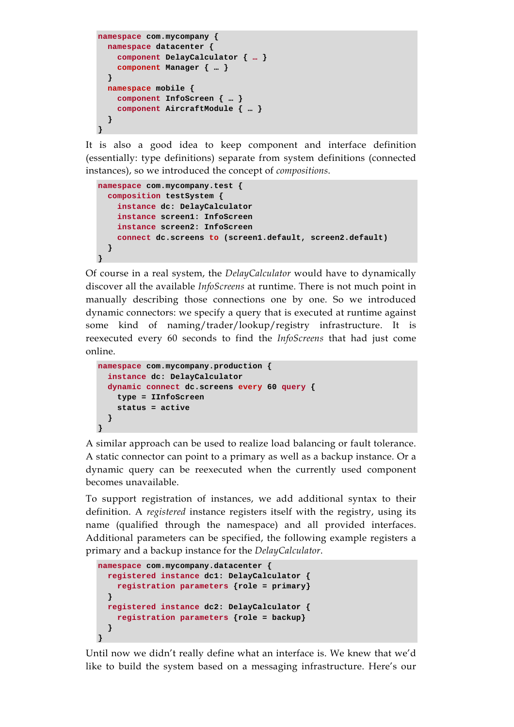```
namespace com.mycompany { 
  namespace datacenter { 
    component DelayCalculator { … } 
     component Manager { … } 
   } 
  namespace mobile { 
    component InfoScreen { … } 
    component AircraftModule { … } 
   } 
}
```
It is also a good idea to keep component and interface definition (essentially: type definitions) separate from system definitions (connected instances), so we introduced the concept of *compositions*.

```
namespace com.mycompany.test { 
   composition testSystem { 
     instance dc: DelayCalculator 
     instance screen1: InfoScreen 
     instance screen2: InfoScreen 
     connect dc.screens to (screen1.default, screen2.default) 
   } 
}
```
Of course in a real system, the *DelayCalculator* would have to dynamically discover all the available *InfoScreens* at runtime. There is not much point in manually describing those connections one by one. So we introduced dynamic connectors: we specify a query that is executed at runtime against some kind of naming/trader/lookup/registry infrastructure. It is reexecuted every 60 seconds to find the *InfoScreens* that had just come online.

```
namespace com.mycompany.production { 
   instance dc: DelayCalculator 
   dynamic connect dc.screens every 60 query { 
    type = IInfoScreen 
     status = active 
   } 
}
```
A similar approach can be used to realize load balancing or fault tolerance. A static connector can point to a primary as well as a backup instance. Or a dynamic query can be reexecuted when the currently used component becomes unavailable.

To support registration of instances, we add additional syntax to their definition. A *registered* instance registers itself with the registry, using its name (qualified through the namespace) and all provided interfaces. Additional parameters can be specified, the following example registers a primary and a backup instance for the *DelayCalculator*.

```
namespace com.mycompany.datacenter { 
   registered instance dc1: DelayCalculator { 
    registration parameters {role = primary} 
 } 
   registered instance dc2: DelayCalculator { 
     registration parameters {role = backup} 
   } 
}
```
Until now we didn't really define what an interface is. We knew that we'd like to build the system based on a messaging infrastructure. Here's our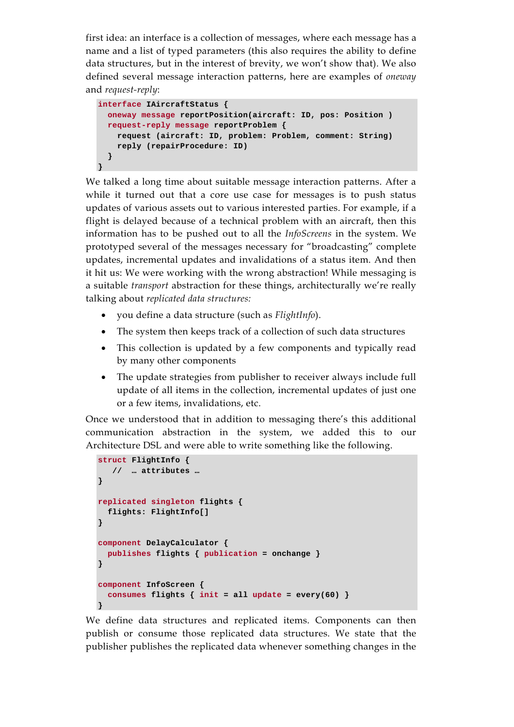first idea: an interface is a collection of messages, where each message has a name and a list of typed parameters (this also requires the ability to define data structures, but in the interest of brevity, we won't show that). We also defined several message interaction patterns, here are examples of *oneway* and *request-reply*:

```
interface IAircraftStatus { 
   oneway message reportPosition(aircraft: ID, pos: Position ) 
   request-reply message reportProblem { 
    request (aircraft: ID, problem: Problem, comment: String) 
    reply (repairProcedure: ID) 
   } 
}
```
We talked a long time about suitable message interaction patterns. After a while it turned out that a core use case for messages is to push status updates of various assets out to various interested parties. For example, if a flight is delayed because of a technical problem with an aircraft, then this information has to be pushed out to all the *InfoScreens* in the system. We prototyped several of the messages necessary for "broadcasting" complete updates, incremental updates and invalidations of a status item. And then it hit us: We were working with the wrong abstraction! While messaging is a suitable *transport* abstraction for these things, architecturally we're really talking about *replicated data structures:* 

- you define a data structure (such as *FlightInfo*).
- The system then keeps track of a collection of such data structures
- This collection is updated by a few components and typically read by many other components
- The update strategies from publisher to receiver always include full update of all items in the collection, incremental updates of just one or a few items, invalidations, etc.

Once we understood that in addition to messaging there's this additional communication abstraction in the system, we added this to our Architecture DSL and were able to write something like the following.

```
struct FlightInfo { 
    // … attributes … 
} 
replicated singleton flights { 
  flights: FlightInfo[] 
} 
component DelayCalculator { 
  publishes flights { publication = onchange } 
} 
component InfoScreen { 
   consumes flights { init = all update = every(60) } 
}
```
We define data structures and replicated items. Components can then publish or consume those replicated data structures. We state that the publisher publishes the replicated data whenever something changes in the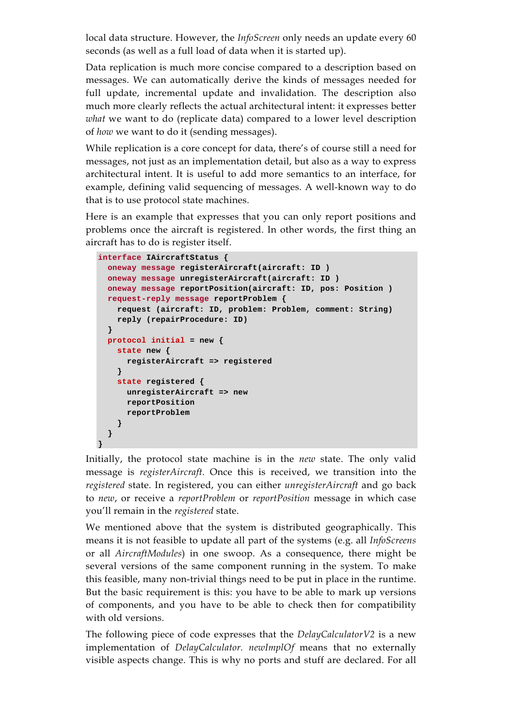local data structure. However, the *InfoScreen* only needs an update every 60 seconds (as well as a full load of data when it is started up).

Data replication is much more concise compared to a description based on messages. We can automatically derive the kinds of messages needed for full update, incremental update and invalidation. The description also much more clearly reflects the actual architectural intent: it expresses better *what* we want to do (replicate data) compared to a lower level description of *how* we want to do it (sending messages).

While replication is a core concept for data, there's of course still a need for messages, not just as an implementation detail, but also as a way to express architectural intent. It is useful to add more semantics to an interface, for example, defining valid sequencing of messages. A well-known way to do that is to use protocol state machines.

Here is an example that expresses that you can only report positions and problems once the aircraft is registered. In other words, the first thing an aircraft has to do is register itself.

```
interface IAircraftStatus { 
   oneway message registerAircraft(aircraft: ID ) 
   oneway message unregisterAircraft(aircraft: ID ) 
   oneway message reportPosition(aircraft: ID, pos: Position ) 
  request-reply message reportProblem { 
     request (aircraft: ID, problem: Problem, comment: String) 
    reply (repairProcedure: ID) 
   } 
   protocol initial = new { 
     state new { 
      registerAircraft => registered 
     } 
     state registered { 
       unregisterAircraft => new 
      reportPosition 
      reportProblem 
     } 
   } 
}
```
Initially, the protocol state machine is in the *new* state. The only valid message is *registerAircraft*. Once this is received, we transition into the *registered* state. In registered, you can either *unregisterAircraft* and go back to *new*, or receive a *reportProblem* or *reportPosition* message in which case you'll remain in the *registered* state.

We mentioned above that the system is distributed geographically. This means it is not feasible to update all part of the systems (e.g. all *InfoScreens* or all *AircraftModules*) in one swoop. As a consequence, there might be several versions of the same component running in the system. To make this feasible, many non-trivial things need to be put in place in the runtime. But the basic requirement is this: you have to be able to mark up versions of components, and you have to be able to check then for compatibility with old versions.

The following piece of code expresses that the *DelayCalculatorV2* is a new implementation of *DelayCalculator. newImplOf* means that no externally visible aspects change. This is why no ports and stuff are declared. For all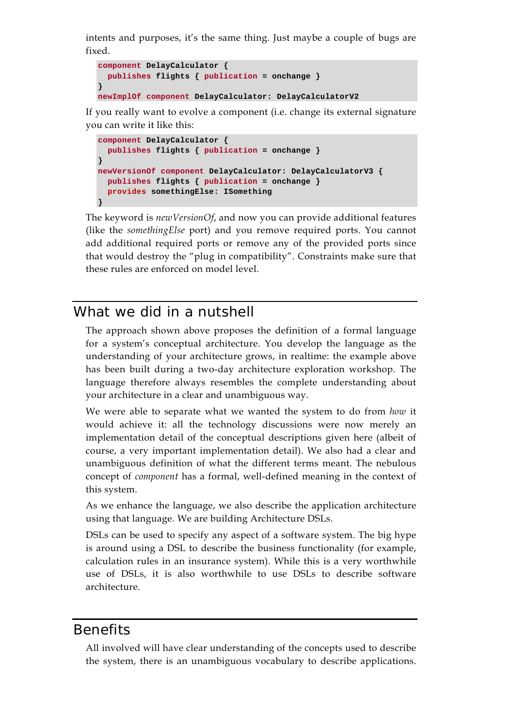intents and purposes, it's the same thing. Just maybe a couple of bugs are fixed.

```
component DelayCalculator { 
   publishes flights { publication = onchange } 
} 
newImplOf component DelayCalculator: DelayCalculatorV2
```
If you really want to evolve a component (i.e. change its external signature you can write it like this:

```
component DelayCalculator { 
   publishes flights { publication = onchange } 
} 
newVersionOf component DelayCalculator: DelayCalculatorV3 { 
 publishes flights { publication = onchange } 
   provides somethingElse: ISomething 
}
```
The keyword is *newVersionOf*, and now you can provide additional features (like the *somethingElse* port) and you remove required ports. You cannot add additional required ports or remove any of the provided ports since that would destroy the "plug in compatibility". Constraints make sure that these rules are enforced on model level.

#### What we did in a nutshell

The approach shown above proposes the definition of a formal language for a system's conceptual architecture. You develop the language as the understanding of your architecture grows, in realtime: the example above has been built during a two-day architecture exploration workshop. The language therefore always resembles the complete understanding about your architecture in a clear and unambiguous way.

We were able to separate what we wanted the system to do from *how* it would achieve it: all the technology discussions were now merely an implementation detail of the conceptual descriptions given here (albeit of course, a very important implementation detail). We also had a clear and unambiguous definition of what the different terms meant. The nebulous concept of *component* has a formal, well-defined meaning in the context of this system.

As we enhance the language, we also describe the application architecture using that language. We are building Architecture DSLs.

DSLs can be used to specify any aspect of a software system. The big hype is around using a DSL to describe the business functionality (for example, calculation rules in an insurance system). While this is a very worthwhile use of DSLs, it is also worthwhile to use DSLs to describe software architecture.

#### **Benefits**

All involved will have clear understanding of the concepts used to describe the system, there is an unambiguous vocabulary to describe applications.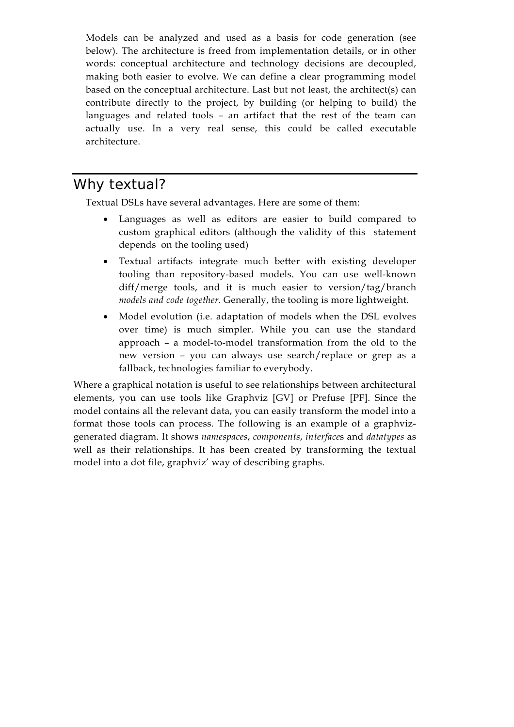Models can be analyzed and used as a basis for code generation (see below). The architecture is freed from implementation details, or in other words: conceptual architecture and technology decisions are decoupled, making both easier to evolve. We can define a clear programming model based on the conceptual architecture. Last but not least, the architect(s) can contribute directly to the project, by building (or helping to build) the languages and related tools – an artifact that the rest of the team can actually use. In a very real sense, this could be called executable architecture.

# Why textual?

Textual DSLs have several advantages. Here are some of them:

- Languages as well as editors are easier to build compared to custom graphical editors (although the validity of this statement depends on the tooling used)
- Textual artifacts integrate much better with existing developer tooling than repository-based models. You can use well-known diff/merge tools, and it is much easier to version/tag/branch *models and code together*. Generally, the tooling is more lightweight.
- Model evolution (i.e. adaptation of models when the DSL evolves over time) is much simpler. While you can use the standard approach – a model-to-model transformation from the old to the new version – you can always use search/replace or grep as a fallback, technologies familiar to everybody.

Where a graphical notation is useful to see relationships between architectural elements, you can use tools like Graphviz [GV] or Prefuse [PF]. Since the model contains all the relevant data, you can easily transform the model into a format those tools can process. The following is an example of a graphvizgenerated diagram. It shows *namespaces*, *components*, *interface*s and *datatypes* as well as their relationships. It has been created by transforming the textual model into a dot file, graphviz' way of describing graphs.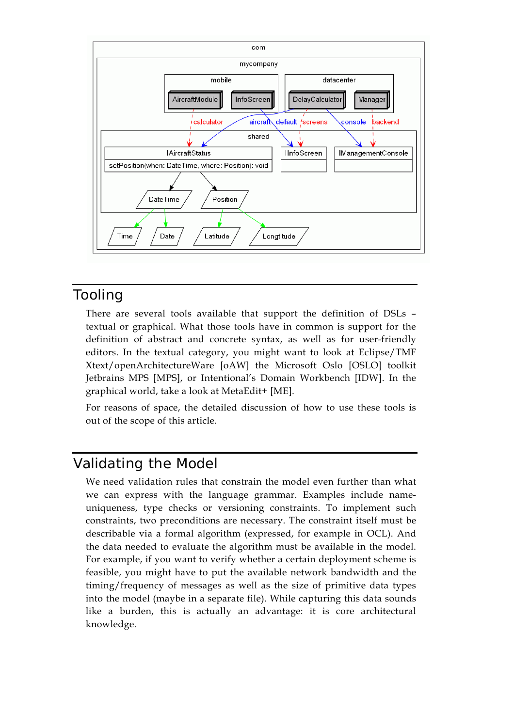

## Tooling

There are several tools available that support the definition of DSLs – textual or graphical. What those tools have in common is support for the definition of abstract and concrete syntax, as well as for user-friendly editors. In the textual category, you might want to look at Eclipse/TMF Xtext/openArchitectureWare [oAW] the Microsoft Oslo [OSLO] toolkit Jetbrains MPS [MPS], or Intentional's Domain Workbench [IDW]. In the graphical world, take a look at MetaEdit+ [ME].

For reasons of space, the detailed discussion of how to use these tools is out of the scope of this article.

# Validating the Model

We need validation rules that constrain the model even further than what we can express with the language grammar. Examples include nameuniqueness, type checks or versioning constraints. To implement such constraints, two preconditions are necessary. The constraint itself must be describable via a formal algorithm (expressed, for example in OCL). And the data needed to evaluate the algorithm must be available in the model. For example, if you want to verify whether a certain deployment scheme is feasible, you might have to put the available network bandwidth and the timing/frequency of messages as well as the size of primitive data types into the model (maybe in a separate file). While capturing this data sounds like a burden, this is actually an advantage: it is core architectural knowledge.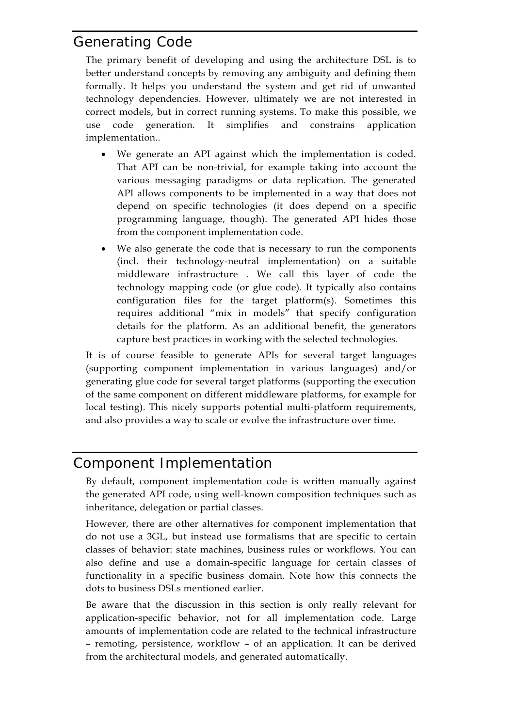# Generating Code

The primary benefit of developing and using the architecture DSL is to better understand concepts by removing any ambiguity and defining them formally. It helps you understand the system and get rid of unwanted technology dependencies. However, ultimately we are not interested in correct models, but in correct running systems. To make this possible, we use code generation. It simplifies and constrains application implementation..

- We generate an API against which the implementation is coded. That API can be non-trivial, for example taking into account the various messaging paradigms or data replication. The generated API allows components to be implemented in a way that does not depend on specific technologies (it does depend on a specific programming language, though). The generated API hides those from the component implementation code.
- We also generate the code that is necessary to run the components (incl. their technology-neutral implementation) on a suitable middleware infrastructure . We call this layer of code the technology mapping code (or glue code). It typically also contains configuration files for the target platform(s). Sometimes this requires additional "mix in models" that specify configuration details for the platform. As an additional benefit, the generators capture best practices in working with the selected technologies.

It is of course feasible to generate APIs for several target languages (supporting component implementation in various languages) and/or generating glue code for several target platforms (supporting the execution of the same component on different middleware platforms, for example for local testing). This nicely supports potential multi-platform requirements, and also provides a way to scale or evolve the infrastructure over time.

# Component Implementation

By default, component implementation code is written manually against the generated API code, using well-known composition techniques such as inheritance, delegation or partial classes.

However, there are other alternatives for component implementation that do not use a 3GL, but instead use formalisms that are specific to certain classes of behavior: state machines, business rules or workflows. You can also define and use a domain-specific language for certain classes of functionality in a specific business domain. Note how this connects the dots to business DSLs mentioned earlier.

Be aware that the discussion in this section is only really relevant for application-specific behavior, not for all implementation code. Large amounts of implementation code are related to the technical infrastructure – remoting, persistence, workflow – of an application. It can be derived from the architectural models, and generated automatically.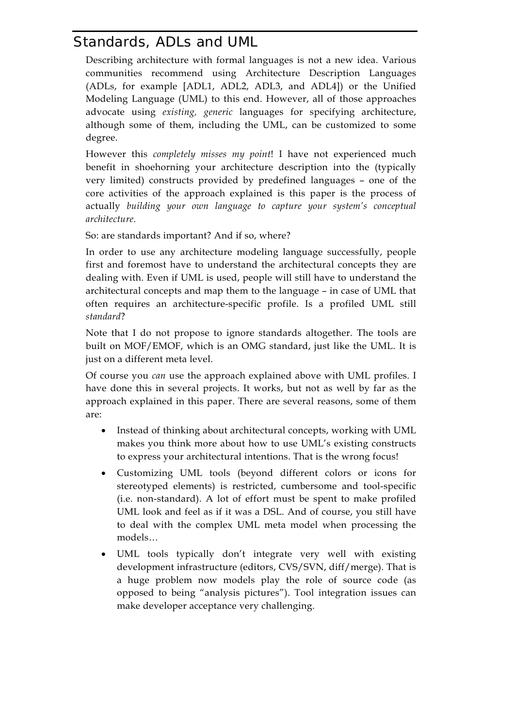# Standards, ADLs and UML

Describing architecture with formal languages is not a new idea. Various communities recommend using Architecture Description Languages (ADLs, for example [ADL1, ADL2, ADL3, and ADL4]) or the Unified Modeling Language (UML) to this end. However, all of those approaches advocate using *existing, generic* languages for specifying architecture, although some of them, including the UML, can be customized to some degree.

However this *completely misses my point*! I have not experienced much benefit in shoehorning your architecture description into the (typically very limited) constructs provided by predefined languages – one of the core activities of the approach explained is this paper is the process of actually *building your own language to capture your system's conceptual architecture*.

So: are standards important? And if so, where?

In order to use any architecture modeling language successfully, people first and foremost have to understand the architectural concepts they are dealing with. Even if UML is used, people will still have to understand the architectural concepts and map them to the language – in case of UML that often requires an architecture-specific profile. Is a profiled UML still *standard*?

Note that I do not propose to ignore standards altogether. The tools are built on MOF/EMOF, which is an OMG standard, just like the UML. It is just on a different meta level.

Of course you *can* use the approach explained above with UML profiles. I have done this in several projects. It works, but not as well by far as the approach explained in this paper. There are several reasons, some of them are:

- Instead of thinking about architectural concepts, working with UML makes you think more about how to use UML's existing constructs to express your architectural intentions. That is the wrong focus!
- Customizing UML tools (beyond different colors or icons for stereotyped elements) is restricted, cumbersome and tool-specific (i.e. non-standard). A lot of effort must be spent to make profiled UML look and feel as if it was a DSL. And of course, you still have to deal with the complex UML meta model when processing the models…
- UML tools typically don't integrate very well with existing development infrastructure (editors, CVS/SVN, diff/merge). That is a huge problem now models play the role of source code (as opposed to being "analysis pictures"). Tool integration issues can make developer acceptance very challenging.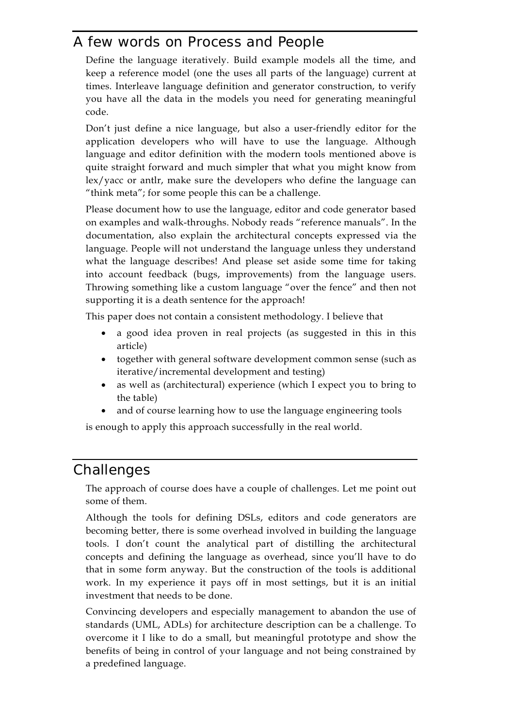# A few words on Process and People

Define the language iteratively. Build example models all the time, and keep a reference model (one the uses all parts of the language) current at times. Interleave language definition and generator construction, to verify you have all the data in the models you need for generating meaningful code.

Don't just define a nice language, but also a user-friendly editor for the application developers who will have to use the language. Although language and editor definition with the modern tools mentioned above is quite straight forward and much simpler that what you might know from lex/yacc or antlr, make sure the developers who define the language can "think meta"; for some people this can be a challenge.

Please document how to use the language, editor and code generator based on examples and walk-throughs. Nobody reads "reference manuals". In the documentation, also explain the architectural concepts expressed via the language. People will not understand the language unless they understand what the language describes! And please set aside some time for taking into account feedback (bugs, improvements) from the language users. Throwing something like a custom language "over the fence" and then not supporting it is a death sentence for the approach!

This paper does not contain a consistent methodology. I believe that

- a good idea proven in real projects (as suggested in this in this article)
- together with general software development common sense (such as iterative/incremental development and testing)
- as well as (architectural) experience (which I expect you to bring to the table)
- and of course learning how to use the language engineering tools

is enough to apply this approach successfully in the real world.

## **Challenges**

The approach of course does have a couple of challenges. Let me point out some of them.

Although the tools for defining DSLs, editors and code generators are becoming better, there is some overhead involved in building the language tools. I don't count the analytical part of distilling the architectural concepts and defining the language as overhead, since you'll have to do that in some form anyway. But the construction of the tools is additional work. In my experience it pays off in most settings, but it is an initial investment that needs to be done.

Convincing developers and especially management to abandon the use of standards (UML, ADLs) for architecture description can be a challenge. To overcome it I like to do a small, but meaningful prototype and show the benefits of being in control of your language and not being constrained by a predefined language.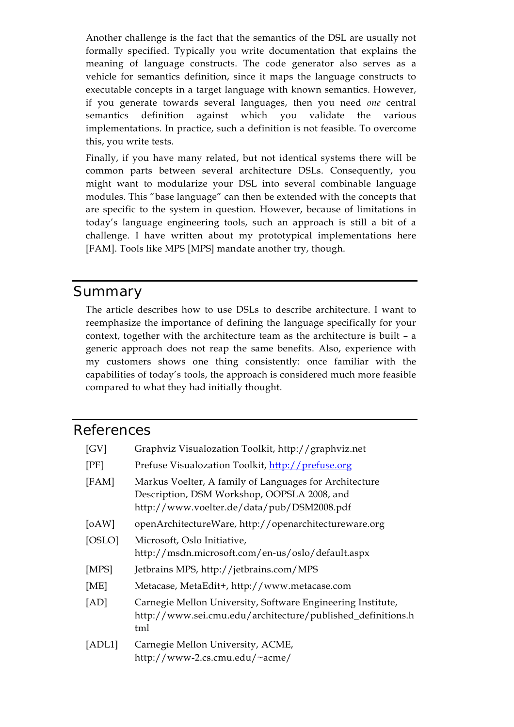Another challenge is the fact that the semantics of the DSL are usually not formally specified. Typically you write documentation that explains the meaning of language constructs. The code generator also serves as a vehicle for semantics definition, since it maps the language constructs to executable concepts in a target language with known semantics. However, if you generate towards several languages, then you need *one* central semantics definition against which you validate the various implementations. In practice, such a definition is not feasible. To overcome this, you write tests.

Finally, if you have many related, but not identical systems there will be common parts between several architecture DSLs. Consequently, you might want to modularize your DSL into several combinable language modules. This "base language" can then be extended with the concepts that are specific to the system in question. However, because of limitations in today's language engineering tools, such an approach is still a bit of a challenge. I have written about my prototypical implementations here [FAM]. Tools like MPS [MPS] mandate another try, though.

#### Summary

The article describes how to use DSLs to describe architecture. I want to reemphasize the importance of defining the language specifically for your context, together with the architecture team as the architecture is built – a generic approach does not reap the same benefits. Also, experience with my customers shows one thing consistently: once familiar with the capabilities of today's tools, the approach is considered much more feasible compared to what they had initially thought.

#### References

| [GV]   | Graphviz Visualozation Toolkit, http://graphviz.net                                                                                                 |
|--------|-----------------------------------------------------------------------------------------------------------------------------------------------------|
| [PF]   | Prefuse Visualozation Toolkit, http://prefuse.org                                                                                                   |
| [FAM]  | Markus Voelter, A family of Languages for Architecture<br>Description, DSM Workshop, OOPSLA 2008, and<br>http://www.voelter.de/data/pub/DSM2008.pdf |
| [0AW]  | openArchitectureWare, http://openarchitectureware.org                                                                                               |
| [OSLO] | Microsoft, Oslo Initiative,<br>http://msdn.microsoft.com/en-us/oslo/default.aspx                                                                    |
| [MPS]  | Jetbrains MPS, http://jetbrains.com/MPS                                                                                                             |
| [ME]   | Metacase, MetaEdit+, http://www.metacase.com                                                                                                        |
| [AD]   | Carnegie Mellon University, Software Engineering Institute,<br>http://www.sei.cmu.edu/architecture/published_definitions.h<br>tml                   |
| [ADL1] | Carnegie Mellon University, ACME,<br>http://www-2.cs.cmu.edu/~acme/                                                                                 |